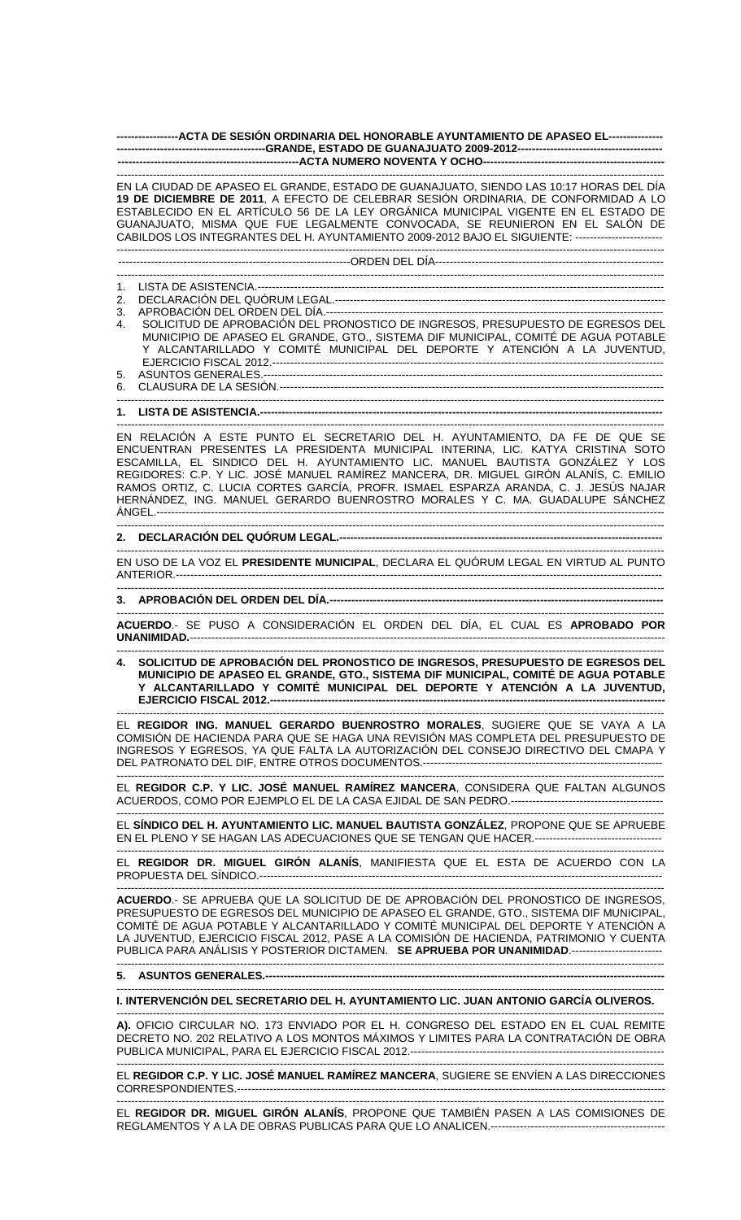**-----------------ACTA DE SESIÓN ORDINARIA DEL HONORABLE AYUNTAMIENTO DE APASEO EL--------------- -----------------------------------------GRANDE, ESTADO DE GUANAJUATO 2009-2012---------------------------------------- --------------------------------------------------ACTA NUMERO NOVENTA Y OCHO--------------------------------------------------** 

------------------------------------------------------------------------------------------------------------------------------------------------------- EN LA CIUDAD DE APASEO EL GRANDE, ESTADO DE GUANAJUATO, SIENDO LAS 10:17 HORAS DEL DÍA **19 DE DICIEMBRE DE 2011**, A EFECTO DE CELEBRAR SESIÓN ORDINARIA, DE CONFORMIDAD A LO ESTABLECIDO EN EL ARTÍCULO 56 DE LA LEY ORGÁNICA MUNICIPAL VIGENTE EN EL ESTADO DE GUANAJUATO, MISMA QUE FUE LEGALMENTE CONVOCADA, SE REUNIERON EN EL SALÓN DE CABILDOS LOS INTEGRANTES DEL H. AYUNTAMIENTO 2009-2012 BAJO EL SIGUIENTE: ------------------------ -------------------------------------------------------------------------------------------------------------------------------------------------------

----------------------------------------------------------------ORDEN DEL DÍA---------------------------------------------------------------

------------------------------------------------------------------------------------------------------------------------------------------------------- 1. LISTA DE ASISTENCIA.----------------------------------------------------------------------------------------------------------------

2. DECLARACIÓN DEL QUÓRUM LEGAL.-------------------------------------------------------------------------------------------

- 3. APROBACIÓN DEL ORDEN DEL DÍA.--
- 4. SOLICITUD DE APROBACIÓN DEL PRONOSTICO DE INGRESOS, PRESUPUESTO DE EGRESOS DEL MUNICIPIO DE APASEO EL GRANDE, GTO., SISTEMA DIF MUNICIPAL, COMITÉ DE AGUA POTABLE Y ALCANTARILLADO Y COMITÉ MUNICIPAL DEL DEPORTE Y ATENCIÓN A LA JUVENTUD, EJERCICIO FISCAL 2012.------------------------------------------------------------------------------------------------------------ 5. ASUNTOS GENERALES.--------------------------------------------------------------------------------------------------------------
- 6. CLAUSURA DE LA SESIÓN.----------------------------------------------------------------------------------------------------------

------------------------------------------------------------------------------------------------------------------------------------------------------- **1. LISTA DE ASISTENCIA.--**

------------------------------------------------------------------------------------------------------------------------------------------------------- EN RELACIÓN A ESTE PUNTO EL SECRETARIO DEL H. AYUNTAMIENTO, DA FE DE QUE SE ENCUENTRAN PRESENTES LA PRESIDENTA MUNICIPAL INTERINA, LIC. KATYA CRISTINA SOTO ESCAMILLA, EL SINDICO DEL H. AYUNTAMIENTO LIC. MANUEL BAUTISTA GONZÁLEZ Y LOS REGIDORES: C.P. Y LIC. JOSÉ MANUEL RAMÍREZ MANCERA, DR. MIGUEL GIRÓN ALANÍS, C. EMILIO RAMOS ORTIZ, C. LUCIA CORTES GARCÍA, PROFR. ISMAEL ESPARZA ARANDA, C. J. JESÚS NAJAR HERNÁNDEZ, ING. MANUEL GERARDO BUENROSTRO MORALES Y C. MA. GUADALUPE SÁNCHEZ ÁNGEL.--------------------------------------------------------------------------------------------------------------------------------------------

## ------------------------------------------------------------------------------------------------------------------------------------------------------- **2. DECLARACIÓN DEL QUÓRUM LEGAL.-----------------------------------------------------------------------------------------**

------------------------------------------------------------------------------------------------------------------------------------------------------- EN USO DE LA VOZ EL **PRESIDENTE MUNICIPAL**, DECLARA EL QUÓRUM LEGAL EN VIRTUD AL PUNTO ANTERIOR.--------------------------------------------------------------------------------------------------------------------------------------

-------------------------------------------------------------------------------------------------------------------------------------------------------

## **3. APROBACIÓN DEL ORDEN DEL DÍA.--------------------------------------------------------------------------------------------**

------------------------------------------------------------------------------------------------------------------------------------------------------- **ACUERDO**.- SE PUSO A CONSIDERACIÓN EL ORDEN DEL DÍA, EL CUAL ES **APROBADO POR UNANIMIDAD.**-----------------------------------------------------------------------------------------------------------------------------------

------------------------------------------------------------------------------------------------------------------------------------------------------- **4. SOLICITUD DE APROBACIÓN DEL PRONOSTICO DE INGRESOS, PRESUPUESTO DE EGRESOS DEL MUNICIPIO DE APASEO EL GRANDE, GTO., SISTEMA DIF MUNICIPAL, COMITÉ DE AGUA POTABLE Y ALCANTARILLADO Y COMITÉ MUNICIPAL DEL DEPORTE Y ATENCIÓN A LA JUVENTUD, EJERCICIO FISCAL 2012.----------**

------------------------------------------------------------------------------------------------------------------------------------------------------- EL **REGIDOR ING. MANUEL GERARDO BUENROSTRO MORALES**, SUGIERE QUE SE VAYA A LA COMISIÓN DE HACIENDA PARA QUE SE HAGA UNA REVISIÓN MAS COMPLETA DEL PRESUPUESTO DE INGRESOS Y EGRESOS, YA QUE FALTA LA AUTORIZACIÓN DEL CONSEJO DIRECTIVO DEL CMAPA Y DEL PATRONATO DEL DIF, ENTRE OTROS DOCUMENTOS.------------------------------------------------------------------

------------------------------------------------------------------------------------------------------------------------------------------------------- EL **REGIDOR C.P. Y LIC. JOSÉ MANUEL RAMÍREZ MANCERA**, CONSIDERA QUE FALTAN ALGUNOS ACUERDOS, COMO POR EJEMPLO EL DE LA CASA EJIDAL DE SAN PEDRO.------------------------------------------

------------------------------------------------------------------------------------------------------------------------------------------------------- EL **SÍNDICO DEL H. AYUNTAMIENTO LIC. MANUEL BAUTISTA GONZÁLEZ**, PROPONE QUE SE APRUEBE EN EL PLENO Y SE HAGAN LAS ADECUACIONES QUE SE TENGAN QUE HACER.-----------------------------------

------------------------------------------------------------------------------------------------------------------------------------------------------- EL **REGIDOR DR. MIGUEL GIRÓN ALANÍS**, MANIFIESTA QUE EL ESTA DE ACUERDO CON LA PROPUESTA DEL SÍNDICO.---------------------------------------------------------------------------------------------------------------

------------------------------------------------------------------------------------------------------------------------------------------------------- **ACUERDO**.- SE APRUEBA QUE LA SOLICITUD DE DE APROBACIÓN DEL PRONOSTICO DE INGRESOS, PRESUPUESTO DE EGRESOS DEL MUNICIPIO DE APASEO EL GRANDE, GTO., SISTEMA DIF MUNICIPAL, COMITÉ DE AGUA POTABLE Y ALCANTARILLADO Y COMITÉ MUNICIPAL DEL DEPORTE Y ATENCIÓN A LA JUVENTUD, EJERCICIO FISCAL 2012, PASE A LA COMISIÓN DE HACIENDA, PATRIMONIO Y CUENTA PUBLICA PARA ANÁLISIS Y POSTERIOR DICTAMEN. **SE APRUEBA POR UNANIMIDAD**.-------------------------

## **5. ASUNTOS GENERALES.--------------------------------------------------------------------------------------------------------------**  -------------------------------------------------------------------------------------------------------------------------------------------------------

-------------------------------------------------------------------------------------------------------------------------------------------------------

**I. INTERVENCIÓN DEL SECRETARIO DEL H. AYUNTAMIENTO LIC. JUAN ANTONIO GARCÍA OLIVEROS.** 

------------------------------------------------------------------------------------------------------------------------------------------------------- **A).** OFICIO CIRCULAR NO. 173 ENVIADO POR EL H. CONGRESO DEL ESTADO EN EL CUAL REMITE DECRETO NO. 202 RELATIVO A LOS MONTOS MÁXIMOS Y LIMITES PARA LA CONTRATACIÓN DE OBRA PUBLICA MUNICIPAL, PARA EL EJERCICIO FISCAL 2012.----------------------------------------------------------------------

------------------------------------------------------------------------------------------------------------------------------------------------------- EL **REGIDOR C.P. Y LIC. JOSÉ MANUEL RAMÍREZ MANCERA**, SUGIERE SE ENVÍEN A LAS DIRECCIONES CORRESPONDIENTES.----------------------------------------------------------------------------------------------------------------------

------------------------------------------------------------------------------------------------------------------------------------------------------- EL **REGIDOR DR. MIGUEL GIRÓN ALANÍS**, PROPONE QUE TAMBIÉN PASEN A LAS COMISIONES DE REGLAMENTOS Y A LA DE OBRAS PUBLICAS PARA QUE LO ANALICEN.--------